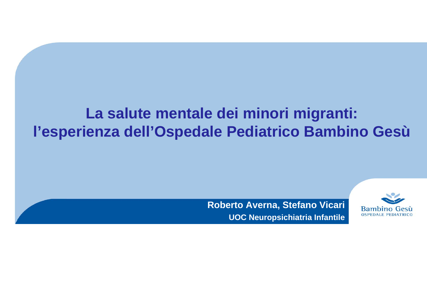## **La salute mentale dei minori migranti: l'esperienza dell'Ospedale Pediatrico Bambino Gesù**

### **Roberto Averna, Stefano Vicari UOC Neuropsichiatria Infantile**

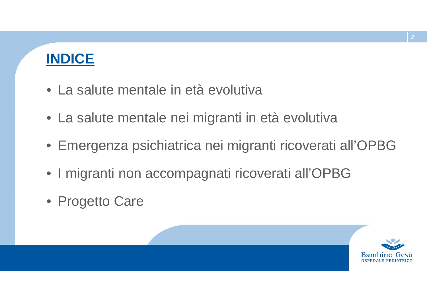

- La salute mentale in età evolutiva
- La salute mentale nei migranti in età evolutiva
- Emergenza psichiatrica nei migranti ricoverati all'OPBG
- I migranti non accompagnati ricoverati all'OPBG
- Progetto Care

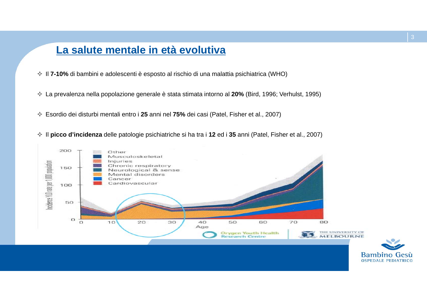### **La salute mentale in età evolutiva**

- Il **7-10%** di bambini e adolescenti è esposto al rischio di una malattia psichiatrica (WHO)
- La prevalenza nella popolazione generale è stata stimata intorno al **20%** (Bird, 1996; Verhulst, 1995)
- Esordio dei disturbi mentali entro i **25** anni nel **75%** dei casi (Patel, Fisher et al., 2007)
- Il **picco d'incidenza** delle patologie psichiatriche si ha tra i **12** ed i **35** anni (Patel, Fisher et al., 2007)



**OSPEDALE PEDIATRICO**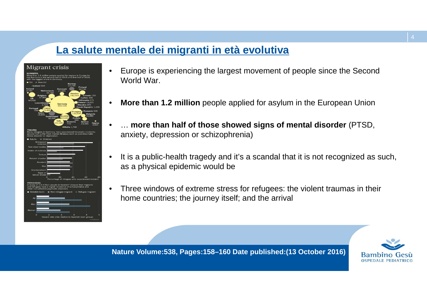### **La salute mentale dei migranti in età evolutiva**



•

- • Europe is experiencing the largest movement of people since the Second World War.
- •**More than 1.2 million** people applied for asylum in the European Union
- … **more than half of those showed signs of mental disorder** (PTSD, anxiety, depression or schizophrenia)
- • It is a public-health tragedy and it's a scandal that it is not recognized as such, as a physical epidemic would be
- • Three windows of extreme stress for refugees: the violent traumas in their home countries; the journey itself; and the arrival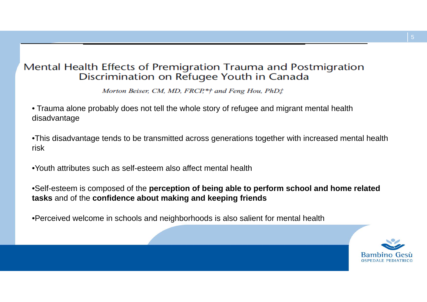### Mental Health Effects of Premigration Trauma and Postmigration Discrimination on Refugee Youth in Canada

Morton Beiser, CM, MD, FRCP,\*† and Feng Hou, PhDt

• Trauma alone probably does not tell the whole story of refugee and migrant mental health disadvantage

•This disadvantage tends to be transmitted across generations together with increased mental health risk

•Youth attributes such as self-esteem also affect mental health

•Self-esteem is composed of the **perception of being able to perform school and home related tasks** and of the **confidence about making and keeping friends**

•Perceived welcome in schools and neighborhoods is also salient for mental health

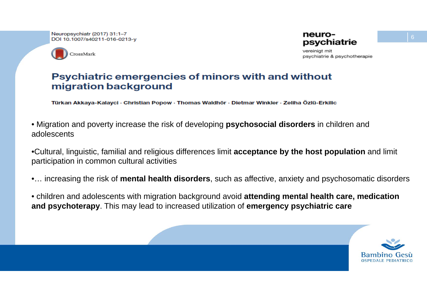Neuropsychiatr (2017) 31:1-7 DOI 10.1007/s40211-016-0213-v



vereinigt mit psychiatrie & psychotherapie

### **Psychiatric emergencies of minors with and without** migration background

Türkan Akkaya-Kalayci · Christian Popow · Thomas Waldhör · Dietmar Winkler · Zeliha Özlü-Erkilic

• Migration and poverty increase the risk of developing **psychosocial disorders** in children and adolescents

•Cultural, linguistic, familial and religious differences limit **acceptance by the host population** and limit participation in common cultural activities

•… increasing the risk of **mental health disorders**, such as affective, anxiety and psychosomatic disorders

• children and adolescents with migration background avoid **attending mental health care, medication and psychoterapy**. This may lead to increased utilization of **emergency psychiatric care**

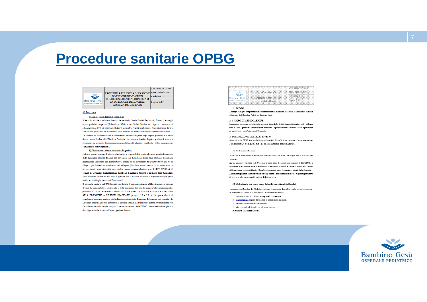## **Procedure sanitarie OPBG**



#### 3.2 Intervento

#### a) Minore in condizioni di abbandono

Il Servizio Sociale si attiva con i servizi del territorio (Servizi Sociali Territoriali Tutore -) e con gli organi giudiziari competenti (Tribunale per i Minorenni, Giudice Tutelare, etc.) per le comunicazioni e l'acquisizione degli atti necessari alla tutela personale e giuridica del minore. Ogni atto inviato dalle o alle Autorità giudiziarie deve essere visionato e siglato dal Medico di tumo della Direzione Sanitaria. Le richieste di documentazione e informazioni sanitarie da parte degli organi giudiziari e/o tutore devono essere inviate alla Direzione Sanitaria che provvede (medico legale - medico di tumo) a predisporre ed inviare la documentazione richiesta (cartelle cliniche - certificati - lettere di dimissione - relazioni su quesiti specifici).

#### b) Dimissione di minore in assenza dei genitori

Nel caso in cui i genitori, il tutore o chi esercita la responsabilità genitoriale siano assenti al momento della dimissione possono delegare una persona di loro fiducia. La delega deve contenere le seguenti informazioni: generalità del genitore/tutore, estremi di un documento del genitore/tutore (di cui si allega copia fotostatica), nominativo del delegato (che deve essere munito di un documento di riconoscimento: carta di identità, od ogni altro documento equipollente ai sensi del DPR 445/00 art 35 comma 2), assunzione di responsabilità di affidare il minore al delegato al momento della dimissione Sono accettate, soprattutto nel caso di genitori che si trovano all'estero, o impossibilitati per gravi motivi anche deleghe a mezzo di Fax o e-mail

Il personale sanitario dell'UO/Servizio che dimette il paziente, prima di affidare il minore a persona diversa dai genitori/tutore, verifica che si tratti di persone delegate dai genitori/tutore medesimi (cf.r. procedura 01.01.77 "RAPIMENTO/SOTTRAZIONE/FUGA DI MINORE E MINORE AFFIDATO ALLA DIMISSIONE A GENITORI SBAGLIATI" paragrafo 3.2 e 3.2.1.), In queste situazioni complesse il personale sanitario che ha la responsabilità della dimissione del paziente può consultare la Direzione Sanitaria (medico in turno) e il Servizio Sociale. La Direzione Sanitaria, eventualmente con l'ausilio del Servizio Sociale, supporta il personale sanitario delle UU.OO./Servizi nei casi complessi o dubbi (genitore che si trova all'estero, genitore detenuto ... ).



#### 1. SCOPO

Lo scopo della presente procedura è definire la modalità di utilizzo dei servizi di mediazione culturale all'interno dell'Ospedale Pediatrico Bambino Gesù

#### 2. CAMPO DI APPLICAZIONE

La presente procedura si applica alle necessità linguistiche di tutti i pazienti stranieri ed è valida per tutte le Unità Operative e Servizi di tutte le sedi dell'Ospedale Pediatrico Bambino Gesù e per le case di accoglienza che afferiscono all'Ospedale

#### 3. DESCRIZIONE DELLE ATTIVITA'

Sono attive in OPBG due modalità complementari di mediazione culturale, che ne consentono l'espletamento 24 ore al giorno tutti i giorni della settimana, compresi i festivi

#### 3.1 Mediazione telefonica

Il servizio di mediazione culturale può essere richiesto, per oltre 100 lingue, con le modalità che  $1000000$ 

da un qualunque telefono dell'Ospedale o delle case di accoglienza digitare il 800432665, e rispondere alle domande poste in automatico. Il servizio è disponibile 24 ore al giorno tutti i giorni della settimana, compresi i festivi. Il mediatore risponde entro al massimo 5 minuti dalla chiamata. Le chiamate possono essere effettuate sia dal personale che dai familiari e sono registrate per motivi di sicurezza ed a garanzia della validità della traduzione.

#### 3.2 Mediazione in loco con presenza del mediatore culturale in Ospedale

La presenza in Ospedale del Mediatore culturale di persona è da preferire nelle seguenti situazioni, in mancanza delle quali ci si avvarrà della Mediazione telefonica

- 1. consenso informato all'atto chirurgico ed all'anestesia
- 2. comunicazione da parte del medico di informazioni essenziali
- 3 oritieită nalla advezziona dai familiari
- 4. altri eventuali atti di notevole rilevanza clinica.
- su richiesta del personale OPBG.

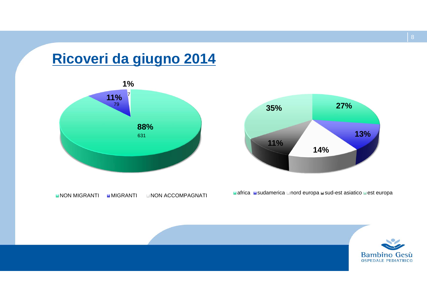## **Ricoveri da giugno 2014**





**NON MIGRANTI MIGRANTI MINON ACCOMPAGNATI**  africa sudamerica nord europa sud-est asiatico est europa

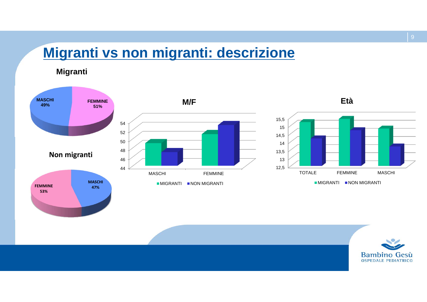## **Migranti vs non migranti: descrizione**

**Migranti**





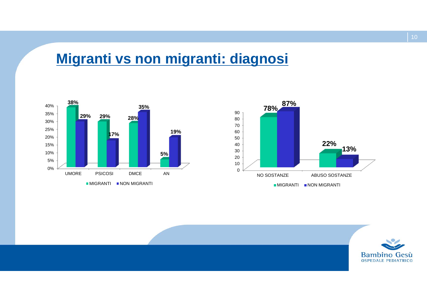## **Migranti vs non migranti: diagnosi**





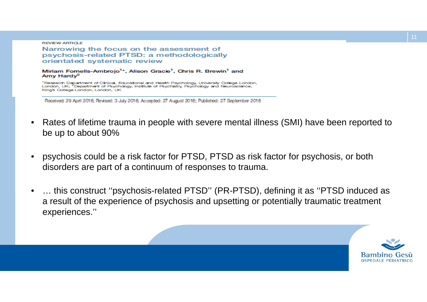**REVIEW ARTICLE** 

Narrowing the focus on the assessment of psychosis-related PTSD: a methodologically orientated systematic review

Miriam Formells-Ambrojo<sup>1</sup>\*, Alison Gracie<sup>1</sup>, Chris R. Brewin<sup>1</sup> and Amy Hardy<sup>2</sup>

<sup>1</sup>Research Department of Clinical, Educational and Health Psychology, University College London, London, UK; <sup>2</sup>Department of Psychology, Institute of Psychiatry, Psychology and Neuroscience, King's College London, London, UK

Received: 29 April 2016; Revised: 3 July 2016; Accepted: 27 August 2016; Published: 27 September 2016

- • Rates of lifetime trauma in people with severe mental illness (SMI) have been reported to be up to about 90%
- • psychosis could be a risk factor for PTSD, PTSD as risk factor for psychosis, or both disorders are part of a continuum of responses to trauma.
- • … this construct ''psychosis-related PTSD'' (PR-PTSD), defining it as ''PTSD induced as a result of the experience of psychosis and upsetting or potentially traumatic treatment experiences.''

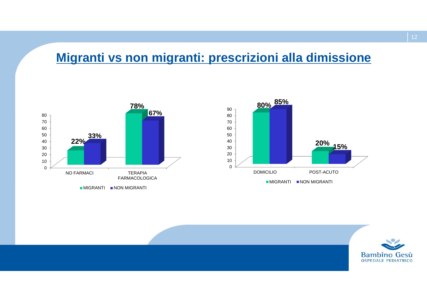### **Migranti vs non migranti: prescrizioni alla dimissione**





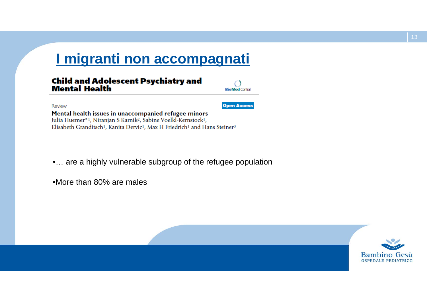## **I migranti non accompagnati**

#### **Child and Adolescent Psychiatry and Mental Health**

Review

**Open Access** 

**Rio Mod Contra** 

Mental health issues in unaccompanied refugee minors Julia Huemer\*<sup>1</sup>, Niranjan S Karnik<sup>2</sup>, Sabine Voelkl-Kernstock<sup>1</sup>, Elisabeth Granditsch<sup>1</sup>, Kanita Dervic<sup>1</sup>, Max H Friedrich<sup>1</sup> and Hans Steiner<sup>3</sup>

•... are a highly vulnerable subgroup of the refugee population

•More than 80% are males

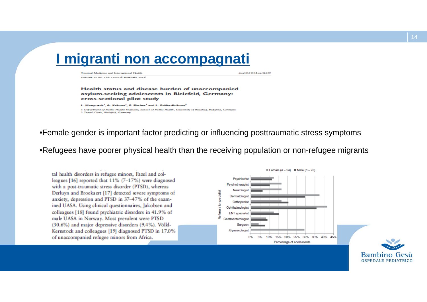## **I migranti non accompagnati**

Terminal Medicine and International Health VOLUME 22 NO 2 PP 230-238 FEBRUARY 2016 **ALCOHOL: AND AND ANOTHER** 

Health status and disease burden of unaccompanied asylum-seeking adolescents in Bielefeld, Germany: cross-sectional pilot study

L. Marquardt<sup>1</sup>, A. Krämer<sup>1</sup>, F. Fischer<sup>1</sup> and L. Prüfer-Krämer<sup>2</sup> 1. Dataronant of Public Health Madicine, School of Public Health, University of Bielefeld, Bidefeld, Germany 2 Travel Clinic, Bielefeld, Germany

#### •Female gender is important factor predicting or influencing posttraumatic stress symptoms

•Refugees have poorer physical health than the receiving population or non-refugee migrants

tal health disorders in refugee minors. Fazel and colleagues [16] reported that 11% (7-17%) were diagnosed with a post-traumatic stress disorder (PTSD), whereas Derluyn and Broekaert [17] detected severe symptoms of anxiety, depression and PTSD in 37-47% of the examined UASA. Using clinical questionnaires, Jakobsen and colleagues [18] found psychiatric disorders in 41.9% of male UASA in Norway, Most prevalent were PTSD (30.6%) and major depressive disorders (9.4%). Völkl-Kernstock and colleagues [19] diagnosed PTSD in 17.0% of unaccompanied refugee minors from Africa.



**OSPEDALE PEDIATRICO**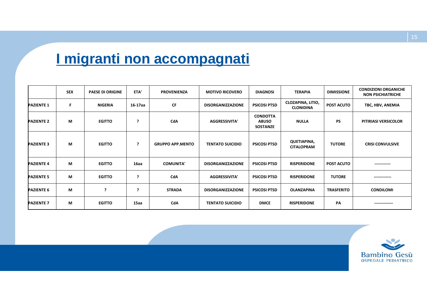## **I migranti non accompagnati**

|                   | <b>SEX</b> | <b>PAESE DI ORIGINE</b> | ETA'    | <b>PROVENIENZA</b>      | <b>MOTIVO RICOVERO</b>   | <b>DIAGNOSI</b>                                    | <b>TERAPIA</b>                               | <b>DIMISSIONE</b> | <b>CONDIZIONI ORGANICHE</b><br><b>NON PSICHIATRICHE</b> |
|-------------------|------------|-------------------------|---------|-------------------------|--------------------------|----------------------------------------------------|----------------------------------------------|-------------------|---------------------------------------------------------|
| <b>PAZIENTE 1</b> | F          | <b>NIGERIA</b>          | 16-17aa | <b>CF</b>               | <b>DISORGANIZZAZIONE</b> | <b>PSICOSI PTSD</b>                                | <b>CLOZAPINA, LITIO,</b><br><b>CLONIDINA</b> | <b>POST ACUTO</b> | TBC, HBV, ANEMIA                                        |
| <b>PAZIENTE 2</b> | M          | <b>EGITTO</b>           | 2       | CdA                     | <b>AGGRESSIVITA'</b>     | <b>CONDOTTA</b><br><b>ABUSO</b><br><b>SOSTANZE</b> | <b>NULLA</b>                                 | <b>PS</b>         | PITIRIASI VERSICOLOR                                    |
| <b>PAZIENTE 3</b> | M          | <b>EGITTO</b>           | ?       | <b>GRUPPO APP.MENTO</b> | <b>TENTATO SUICIDIO</b>  | <b>PSICOSI PTSD</b>                                | <b>QUETIAPINA,</b><br><b>CITALOPRAM</b>      | <b>TUTORE</b>     | <b>CRISI CONVULSIVE</b>                                 |
| <b>PAZIENTE 4</b> | M          | <b>EGITTO</b>           | 16aa    | <b>COMUNITA'</b>        | <b>DISORGANIZZAZIONE</b> | <b>PSICOSI PTSD</b>                                | <b>RISPERIDONE</b>                           | <b>POST ACUTO</b> | ------------                                            |
| <b>PAZIENTE 5</b> | M          | <b>EGITTO</b>           | - ?     | CdA                     | <b>AGGRESSIVITA'</b>     | <b>PSICOSI PTSD</b>                                | <b>RISPERIDONE</b>                           | <b>TUTORE</b>     |                                                         |
| <b>PAZIENTE 6</b> | M          | 2                       |         | <b>STRADA</b>           | <b>DISORGANIZZAZIONE</b> | <b>PSICOSI PTSD</b>                                | <b>OLANZAPINA</b>                            | <b>TRASFERITO</b> | <b>CONDILOMI</b>                                        |
| <b>PAZIENTE 7</b> | M          | <b>EGITTO</b>           | 15aa    | CdA                     | <b>TENTATO SUICIDIO</b>  | <b>DMCE</b>                                        | <b>RISPERIDONE</b>                           | PA                | --------------                                          |

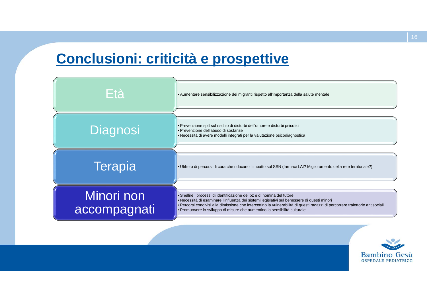## **Conclusioni: criticità e prospettive**



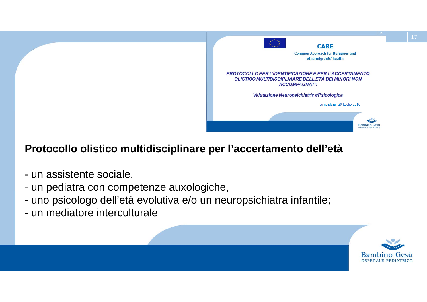

### **Protocollo olistico multidisciplinare per l'accertamento dell'età**

- un assistente sociale,
- un pediatra con competenze auxologiche,
- uno psicologo dell'età evolutiva e/o un neuropsichiatra infantile;
- un mediatore interculturale



17